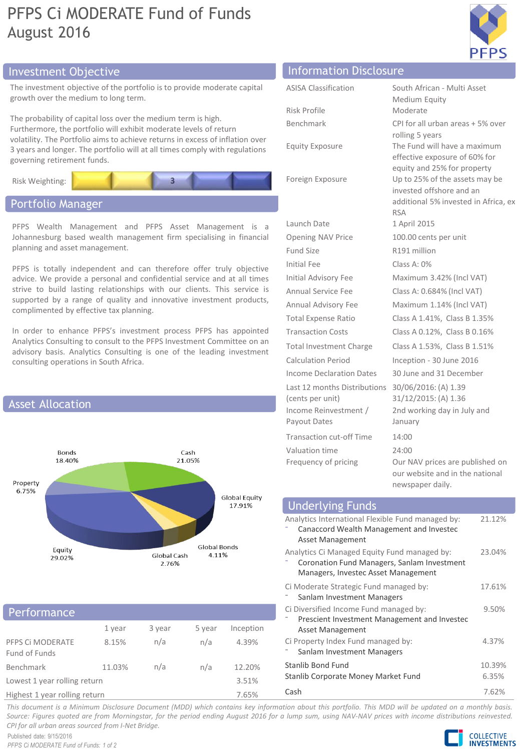# PFPS Ci MODERATE Fund of Funds August 2016



## Investment Objective Information Disclosure

The investment objective of the portfolio is to provide moderate capital growth over the medium to long term.

The probability of capital loss over the medium term is high. Furthermore, the portfolio will exhibit moderate levels of return volatility. The Portfolio aims to achieve returns in excess of inflation over 3 years and longer. The portfolio will at all times comply with regulations governing retirement funds.



## Portfolio Manager

PFPS Wealth Management and PFPS Asset Management is a Johannesburg based wealth management firm specialising in financial planning and asset management.

PFPS is totally independent and can therefore offer truly objective advice. We provide a personal and confidential service and at all times strive to build lasting relationships with our clients. This service is supported by a range of quality and innovative investment products, complimented by effective tax planning.

In order to enhance PFPS's investment process PFPS has appointed Analytics Consulting to consult to the PFPS Investment Committee on an advisory basis. Analytics Consulting is one of the leading investment consulting operations in South Africa.



### **Performance**

|                                   | 1 year | 3 year | 5 year | Inception |  |
|-----------------------------------|--------|--------|--------|-----------|--|
| PFPS Ci MODERATE<br>Fund of Funds | 8.15%  | n/a    | n/a    | 4.39%     |  |
| Benchmark                         | 11.03% | n/a    | n/a    | 12.20%    |  |
| Lowest 1 year rolling return      |        |        |        | 3.51%     |  |
| Highest 1 year rolling return     |        |        |        | 7.65%     |  |

| <b>ASISA Classification</b>                      | South African - Multi Asset<br>Medium Equity                                                                     |
|--------------------------------------------------|------------------------------------------------------------------------------------------------------------------|
| Risk Profile                                     | Moderate                                                                                                         |
| Benchmark                                        | CPI for all urban areas + 5% over<br>rolling 5 years                                                             |
| <b>Equity Exposure</b>                           | The Fund will have a maximum<br>effective exposure of 60% for<br>equity and 25% for property                     |
| Foreign Exposure                                 | Up to 25% of the assets may be<br>invested offshore and an<br>additional 5% invested in Africa, ex<br><b>RSA</b> |
| Launch Date                                      | 1 April 2015                                                                                                     |
| <b>Opening NAV Price</b>                         | 100.00 cents per unit                                                                                            |
| Fund Size                                        | R191 million                                                                                                     |
| Initial Fee                                      | Class A: 0%                                                                                                      |
| Initial Advisory Fee                             | Maximum 3.42% (Incl VAT)                                                                                         |
| Annual Service Fee                               | Class A: 0.684% (Incl VAT)                                                                                       |
| Annual Advisory Fee                              | Maximum 1.14% (Incl VAT)                                                                                         |
| <b>Total Expense Ratio</b>                       | Class A 1.41%, Class B 1.35%                                                                                     |
| <b>Transaction Costs</b>                         | Class A 0.12%, Class B 0.16%                                                                                     |
| <b>Total Investment Charge</b>                   | Class A 1.53%, Class B 1.51%                                                                                     |
| Calculation Period                               | Inception - 30 June 2016                                                                                         |
| Income Declaration Dates                         | 30 June and 31 December                                                                                          |
| Last 12 months Distributions<br>(cents per unit) | 30/06/2016: (A) 1.39<br>31/12/2015: (A) 1.36                                                                     |
| Income Reinvestment /<br>Payout Dates            | 2nd working day in July and<br>January                                                                           |
| Transaction cut-off Time                         | 14:00                                                                                                            |
| Valuation time                                   | 24:00                                                                                                            |
| Frequency of pricing                             | Our NAV prices are published on<br>our website and in the national                                               |

| <b>Underlying Funds</b>                           |        |
|---------------------------------------------------|--------|
| Analytics International Flexible Fund managed by: | 21.12% |
| Canaccord Wealth Management and Investec          |        |
| Asset Management                                  |        |
| Analytics Ci Managed Equity Fund managed by:      | 23.04% |
| Coronation Fund Managers, Sanlam Investment       |        |
| Managers, Investec Asset Management               |        |
| Ci Moderate Strategic Fund managed by:            | 17.61% |
| Sanlam Investment Managers                        |        |
| Ci Diversified Income Fund managed by:            | 9.50%  |
| Prescient Investment Management and Investec      |        |
| Asset Management                                  |        |
| Ci Property Index Fund managed by:                | 4.37%  |
| Sanlam Investment Managers                        |        |
| Stanlib Bond Fund                                 | 10.39% |
| Stanlib Corporate Money Market Fund               | 6.35%  |
| Cash                                              | 7.62%  |

newspaper daily.

This document is a Minimum Disclosure Document (MDD) which contains key information about this portfolio. This MDD will be updated on a monthly basis. Source: Figures quoted are from Morningstar, for the period ending August 2016 for a lump sum, using NAV-NAV prices with income distributions reinvested. *CPI for all urban areas sourced from I-Net Bridge.*

Published date: 9/15/2016 *PFPS Ci MODERATE Fund of Funds: 1 of 2*